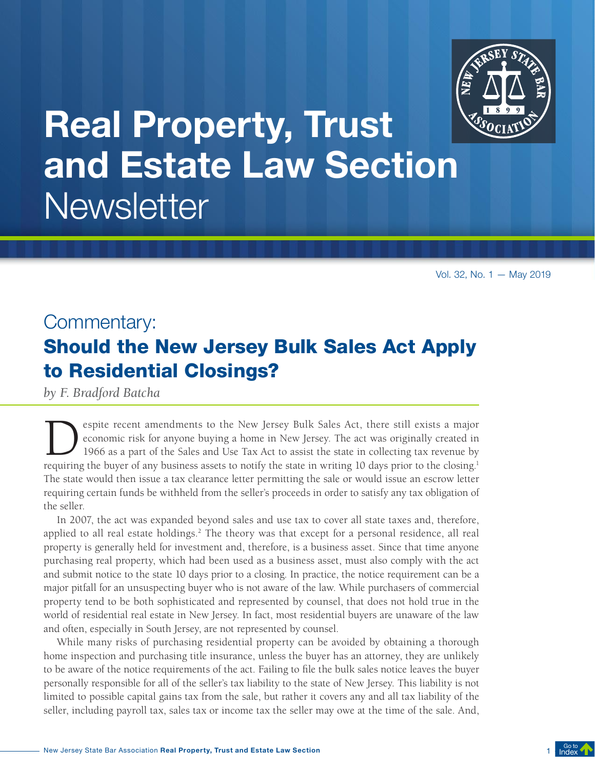

# Real Property, Trust and Estate Law Section **Newsletter**

Vol. 32, No. 1 — May 2019

### Commentary: Should the New Jersey Bulk Sales Act Apply to Residential Closings?

*by F. Bradford Batcha* 

espite recent amendments to the New Jersey Bulk Sales Act, there still exists a major economic risk for anyone buying a home in New Jersey. The act was originally created in 1966 as a part of the Sales and Use Tax Act to assist the state in collecting tax revenue by requiring the buyer of any business assets to notify the state in writing 10 days prior to the closing. 1 The state would then issue a tax clearance letter permitting the sale or would issue an escrow letter requiring certain funds be withheld from the seller's proceeds in order to satisfy any tax obligation of the seller.

In 2007, the act was expanded beyond sales and use tax to cover all state taxes and, therefore, applied to all real estate holdings.<sup>2</sup> The theory was that except for a personal residence, all real property is generally held for investment and, therefore, is a business asset. Since that time anyone purchasing real property, which had been used as a business asset, must also comply with the act and submit notice to the state 10 days prior to a closing. In practice, the notice requirement can be a major pitfall for an unsuspecting buyer who is not aware of the law. While purchasers of commercial property tend to be both sophisticated and represented by counsel, that does not hold true in the world of residential real estate in New Jersey. In fact, most residential buyers are unaware of the law and often, especially in South Jersey, are not represented by counsel.

While many risks of purchasing residential property can be avoided by obtaining a thorough home inspection and purchasing title insurance, unless the buyer has an attorney, they are unlikely to be aware of the notice requirements of the act. Failing to file the bulk sales notice leaves the buyer personally responsible for all of the seller's tax liability to the state of New Jersey. This liability is not limited to possible capital gains tax from the sale, but rather it covers any and all tax liability of the seller, including payroll tax, sales tax or income tax the seller may owe at the time of the sale. And,

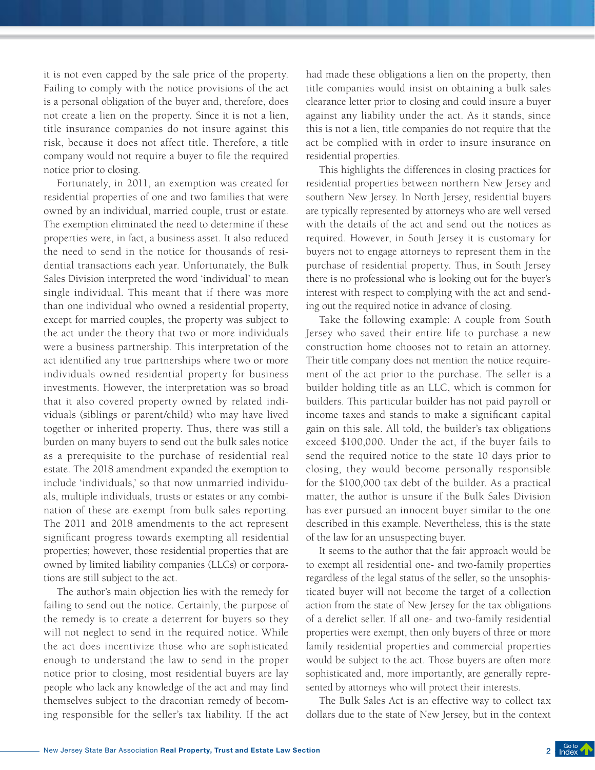it is not even capped by the sale price of the property. Failing to comply with the notice provisions of the act is a personal obligation of the buyer and, therefore, does not create a lien on the property. Since it is not a lien, title insurance companies do not insure against this risk, because it does not affect title. Therefore, a title company would not require a buyer to file the required notice prior to closing.

Fortunately, in 2011, an exemption was created for residential properties of one and two families that were owned by an individual, married couple, trust or estate. The exemption eliminated the need to determine if these properties were, in fact, a business asset. It also reduced the need to send in the notice for thousands of residential transactions each year. Unfortunately, the Bulk Sales Division interpreted the word 'individual' to mean single individual. This meant that if there was more than one individual who owned a residential property, except for married couples, the property was subject to the act under the theory that two or more individuals were a business partnership. This interpretation of the act identified any true partnerships where two or more individuals owned residential property for business investments. However, the interpretation was so broad that it also covered property owned by related individuals (siblings or parent/child) who may have lived together or inherited property. Thus, there was still a burden on many buyers to send out the bulk sales notice as a prerequisite to the purchase of residential real estate. The 2018 amendment expanded the exemption to include 'individuals,' so that now unmarried individuals, multiple individuals, trusts or estates or any combination of these are exempt from bulk sales reporting. The 2011 and 2018 amendments to the act represent significant progress towards exempting all residential properties; however, those residential properties that are owned by limited liability companies (LLCs) or corporations are still subject to the act.

The author's main objection lies with the remedy for failing to send out the notice. Certainly, the purpose of the remedy is to create a deterrent for buyers so they will not neglect to send in the required notice. While the act does incentivize those who are sophisticated enough to understand the law to send in the proper notice prior to closing, most residential buyers are lay people who lack any knowledge of the act and may find themselves subject to the draconian remedy of becoming responsible for the seller's tax liability. If the act

had made these obligations a lien on the property, then title companies would insist on obtaining a bulk sales clearance letter prior to closing and could insure a buyer against any liability under the act. As it stands, since this is not a lien, title companies do not require that the act be complied with in order to insure insurance on residential properties.

This highlights the differences in closing practices for residential properties between northern New Jersey and southern New Jersey. In North Jersey, residential buyers are typically represented by attorneys who are well versed with the details of the act and send out the notices as required. However, in South Jersey it is customary for buyers not to engage attorneys to represent them in the purchase of residential property. Thus, in South Jersey there is no professional who is looking out for the buyer's interest with respect to complying with the act and sending out the required notice in advance of closing.

Take the following example: A couple from South Jersey who saved their entire life to purchase a new construction home chooses not to retain an attorney. Their title company does not mention the notice requirement of the act prior to the purchase. The seller is a builder holding title as an LLC, which is common for builders. This particular builder has not paid payroll or income taxes and stands to make a significant capital gain on this sale. All told, the builder's tax obligations exceed \$100,000. Under the act, if the buyer fails to send the required notice to the state 10 days prior to closing, they would become personally responsible for the \$100,000 tax debt of the builder. As a practical matter, the author is unsure if the Bulk Sales Division has ever pursued an innocent buyer similar to the one described in this example. Nevertheless, this is the state of the law for an unsuspecting buyer.

It seems to the author that the fair approach would be to exempt all residential one- and two-family properties regardless of the legal status of the seller, so the unsophisticated buyer will not become the target of a collection action from the state of New Jersey for the tax obligations of a derelict seller. If all one- and two-family residential properties were exempt, then only buyers of three or more family residential properties and commercial properties would be subject to the act. Those buyers are often more sophisticated and, more importantly, are generally represented by attorneys who will protect their interests.

The Bulk Sales Act is an effective way to collect tax dollars due to the state of New Jersey, but in the context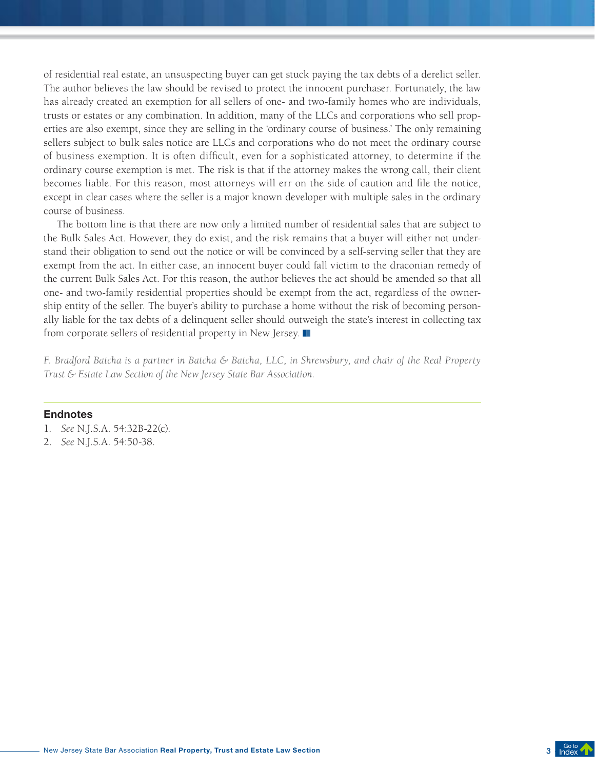of residential real estate, an unsuspecting buyer can get stuck paying the tax debts of a derelict seller. The author believes the law should be revised to protect the innocent purchaser. Fortunately, the law has already created an exemption for all sellers of one- and two-family homes who are individuals, trusts or estates or any combination. In addition, many of the LLCs and corporations who sell properties are also exempt, since they are selling in the 'ordinary course of business.' The only remaining sellers subject to bulk sales notice are LLCs and corporations who do not meet the ordinary course of business exemption. It is often difficult, even for a sophisticated attorney, to determine if the ordinary course exemption is met. The risk is that if the attorney makes the wrong call, their client becomes liable. For this reason, most attorneys will err on the side of caution and file the notice, except in clear cases where the seller is a major known developer with multiple sales in the ordinary course of business.

The bottom line is that there are now only a limited number of residential sales that are subject to the Bulk Sales Act. However, they do exist, and the risk remains that a buyer will either not understand their obligation to send out the notice or will be convinced by a self-serving seller that they are exempt from the act. In either case, an innocent buyer could fall victim to the draconian remedy of the current Bulk Sales Act. For this reason, the author believes the act should be amended so that all one- and two-family residential properties should be exempt from the act, regardless of the ownership entity of the seller. The buyer's ability to purchase a home without the risk of becoming personally liable for the tax debts of a delinquent seller should outweigh the state's interest in collecting tax from corporate sellers of residential property in New Jersey.  $\blacksquare$ 

*F. Bradford Batcha is a partner in Batcha & Batcha, LLC, in Shrewsbury, and chair of the Real Property Trust & Estate Law Section of the New Jersey State Bar Association.*

#### Endnotes

- 1. *See* N.J.S.A. 54:32B-22(c).
- 2. *See* N.J.S.A. 54:50-38.

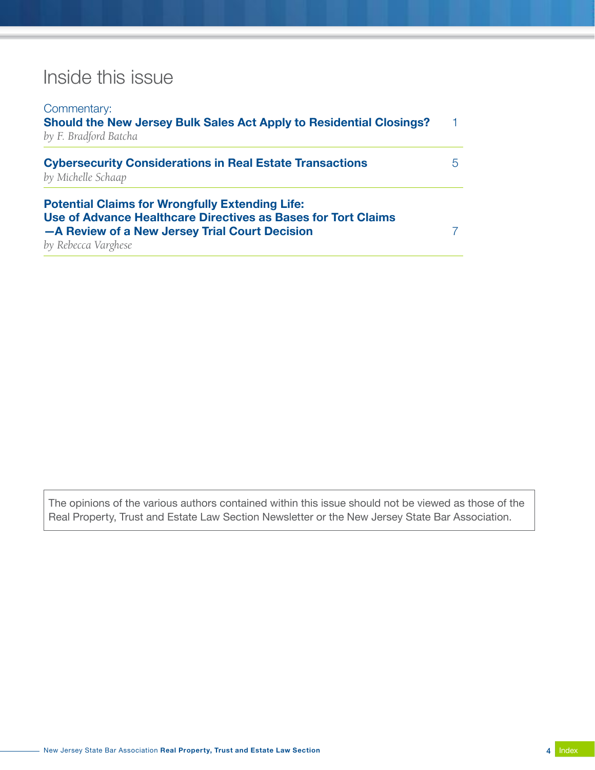### Inside this issue

| Commentary:<br>Should the New Jersey Bulk Sales Act Apply to Residential Closings?<br>by F. Bradford Batcha                                                               |    |
|---------------------------------------------------------------------------------------------------------------------------------------------------------------------------|----|
|                                                                                                                                                                           | 1. |
|                                                                                                                                                                           |    |
| <b>Cybersecurity Considerations in Real Estate Transactions</b><br>by Michelle Schaap                                                                                     | 5  |
| <b>Potential Claims for Wrongfully Extending Life:</b><br>Use of Advance Healthcare Directives as Bases for Tort Claims<br>-A Review of a New Jersey Trial Court Decision | 7  |
| by Rebecca Varghese                                                                                                                                                       |    |

The opinions of the various authors contained within this issue should not be viewed as those of the Real Property, Trust and Estate Law Section Newsletter or the New Jersey State Bar Association.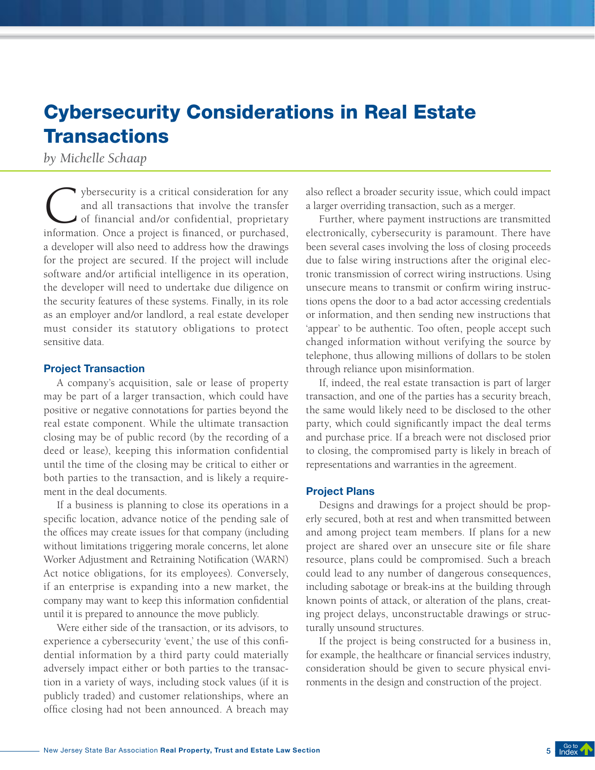### Cybersecurity Considerations in Real Estate **Transactions**

### *by Michelle Schaap*

The years of the security is a critical consideration for any and all transactions that involve the transfer of financial and/or confidential, proprietary information. Once a project is financed or purchased and all transactions that involve the transfer of financial and/or confidential, proprietary information. Once a project is financed, or purchased, a developer will also need to address how the drawings for the project are secured. If the project will include software and/or artificial intelligence in its operation, the developer will need to undertake due diligence on the security features of these systems. Finally, in its role as an employer and/or landlord, a real estate developer must consider its statutory obligations to protect sensitive data.

#### Project Transaction

A company's acquisition, sale or lease of property may be part of a larger transaction, which could have positive or negative connotations for parties beyond the real estate component. While the ultimate transaction closing may be of public record (by the recording of a deed or lease), keeping this information confidential until the time of the closing may be critical to either or both parties to the transaction, and is likely a requirement in the deal documents.

If a business is planning to close its operations in a specific location, advance notice of the pending sale of the offices may create issues for that company (including without limitations triggering morale concerns, let alone Worker Adjustment and Retraining Notification (WARN) Act notice obligations, for its employees). Conversely, if an enterprise is expanding into a new market, the company may want to keep this information confidential until it is prepared to announce the move publicly.

Were either side of the transaction, or its advisors, to experience a cybersecurity 'event,' the use of this confidential information by a third party could materially adversely impact either or both parties to the transaction in a variety of ways, including stock values (if it is publicly traded) and customer relationships, where an office closing had not been announced. A breach may

also reflect a broader security issue, which could impact a larger overriding transaction, such as a merger.

Further, where payment instructions are transmitted electronically, cybersecurity is paramount. There have been several cases involving the loss of closing proceeds due to false wiring instructions after the original electronic transmission of correct wiring instructions. Using unsecure means to transmit or confirm wiring instructions opens the door to a bad actor accessing credentials or information, and then sending new instructions that 'appear' to be authentic. Too often, people accept such changed information without verifying the source by telephone, thus allowing millions of dollars to be stolen through reliance upon misinformation.

If, indeed, the real estate transaction is part of larger transaction, and one of the parties has a security breach, the same would likely need to be disclosed to the other party, which could significantly impact the deal terms and purchase price. If a breach were not disclosed prior to closing, the compromised party is likely in breach of representations and warranties in the agreement.

#### Project Plans

Designs and drawings for a project should be properly secured, both at rest and when transmitted between and among project team members. If plans for a new project are shared over an unsecure site or file share resource, plans could be compromised. Such a breach could lead to any number of dangerous consequences, including sabotage or break-ins at the building through known points of attack, or alteration of the plans, creating project delays, unconstructable drawings or structurally unsound structures.

If the project is being constructed for a business in, for example, the healthcare or financial services industry, consideration should be given to secure physical environments in the design and construction of the project.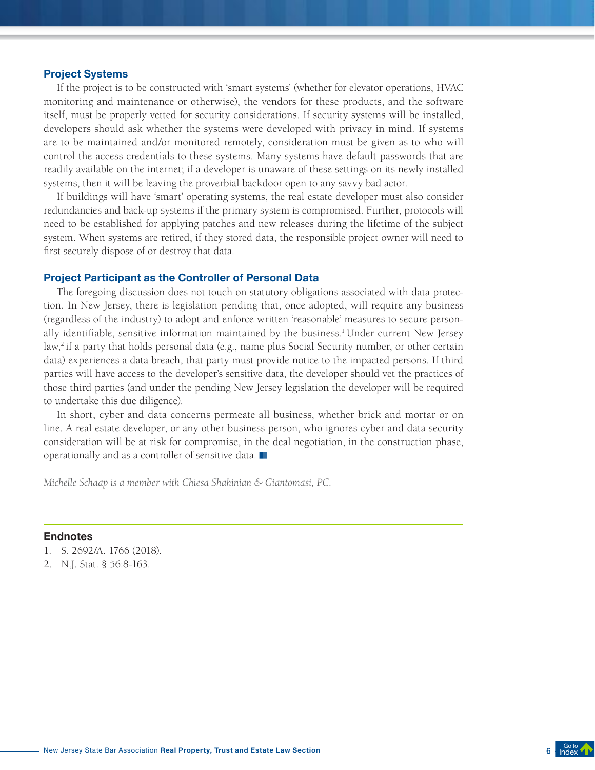#### Project Systems

If the project is to be constructed with 'smart systems' (whether for elevator operations, HVAC monitoring and maintenance or otherwise), the vendors for these products, and the software itself, must be properly vetted for security considerations. If security systems will be installed, developers should ask whether the systems were developed with privacy in mind. If systems are to be maintained and/or monitored remotely, consideration must be given as to who will control the access credentials to these systems. Many systems have default passwords that are readily available on the internet; if a developer is unaware of these settings on its newly installed systems, then it will be leaving the proverbial backdoor open to any savvy bad actor.

If buildings will have 'smart' operating systems, the real estate developer must also consider redundancies and back-up systems if the primary system is compromised. Further, protocols will need to be established for applying patches and new releases during the lifetime of the subject system. When systems are retired, if they stored data, the responsible project owner will need to first securely dispose of or destroy that data.

#### Project Participant as the Controller of Personal Data

The foregoing discussion does not touch on statutory obligations associated with data protection. In New Jersey, there is legislation pending that, once adopted, will require any business (regardless of the industry) to adopt and enforce written 'reasonable' measures to secure personally identifiable, sensitive information maintained by the business. 1 Under current New Jersey law,<sup>2</sup> if a party that holds personal data (e.g., name plus Social Security number, or other certain data) experiences a data breach, that party must provide notice to the impacted persons. If third parties will have access to the developer's sensitive data, the developer should vet the practices of those third parties (and under the pending New Jersey legislation the developer will be required to undertake this due diligence).

In short, cyber and data concerns permeate all business, whether brick and mortar or on line. A real estate developer, or any other business person, who ignores cyber and data security consideration will be at risk for compromise, in the deal negotiation, in the construction phase, operationally and as a controller of sensitive data.  $\blacksquare$ 

*Michelle Schaap is a member with Chiesa Shahinian & Giantomasi, PC.*

#### Endnotes

- 1. S. 2692/A. 1766 (2018).
- 2. N.J. Stat. § 56:8-163.

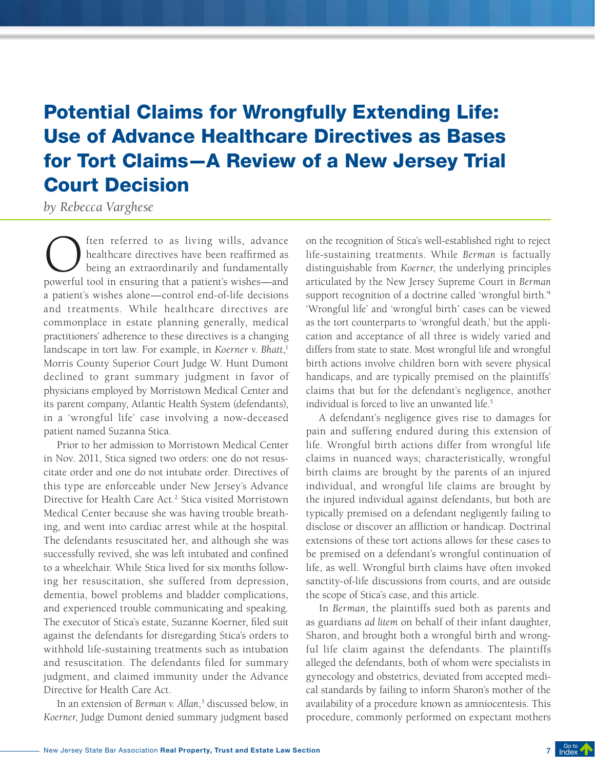## Potential Claims for Wrongfully Extending Life: Use of Advance Healthcare Directives as Bases for Tort Claims—A Review of a New Jersey Trial Court Decision

*by Rebecca Varghese*

(a) ften referred to as living wills, advance<br>healthcare directives have been reaffirmed as<br>being an extraordinarily and fundamentally<br>nowerful tool in ensuring that a patient's wishes—and healthcare directives have been reaffirmed as being an extraordinarily and fundamentally powerful tool in ensuring that a patient's wishes—and a patient's wishes alone—control end-of-life decisions and treatments. While healthcare directives are commonplace in estate planning generally, medical practitioners' adherence to these directives is a changing landscape in tort law. For example, in *Koerner v. Bhatt*, 1 Morris County Superior Court Judge W. Hunt Dumont declined to grant summary judgment in favor of physicians employed by Morristown Medical Center and its parent company, Atlantic Health System (defendants), in a 'wrongful life' case involving a now-deceased patient named Suzanna Stica.

Prior to her admission to Morristown Medical Center in Nov. 2011, Stica signed two orders: one do not resuscitate order and one do not intubate order. Directives of this type are enforceable under New Jersey's Advance Directive for Health Care Act. 2 Stica visited Morristown Medical Center because she was having trouble breathing, and went into cardiac arrest while at the hospital. The defendants resuscitated her, and although she was successfully revived, she was left intubated and confined to a wheelchair. While Stica lived for six months following her resuscitation, she suffered from depression, dementia, bowel problems and bladder complications, and experienced trouble communicating and speaking. The executor of Stica's estate, Suzanne Koerner, filed suit against the defendants for disregarding Stica's orders to withhold life-sustaining treatments such as intubation and resuscitation. The defendants filed for summary judgment, and claimed immunity under the Advance Directive for Health Care Act.

In an extension of *Berman v. Allan*, 3 discussed below, in *Koerner*, Judge Dumont denied summary judgment based

on the recognition of Stica's well-established right to reject life-sustaining treatments. While *Berman* is factually distinguishable from *Koerner*, the underlying principles articulated by the New Jersey Supreme Court in *Berman* support recognition of a doctrine called 'wrongful birth.<sup>4</sup> 'Wrongful life' and 'wrongful birth' cases can be viewed as the tort counterparts to 'wrongful death,' but the application and acceptance of all three is widely varied and differs from state to state. Most wrongful life and wrongful birth actions involve children born with severe physical handicaps, and are typically premised on the plaintiffs' claims that but for the defendant's negligence, another individual is forced to live an unwanted life. 5

A defendant's negligence gives rise to damages for pain and suffering endured during this extension of life. Wrongful birth actions differ from wrongful life claims in nuanced ways; characteristically, wrongful birth claims are brought by the parents of an injured individual, and wrongful life claims are brought by the injured individual against defendants, but both are typically premised on a defendant negligently failing to disclose or discover an affliction or handicap. Doctrinal extensions of these tort actions allows for these cases to be premised on a defendant's wrongful continuation of life, as well. Wrongful birth claims have often invoked sanctity-of-life discussions from courts, and are outside the scope of Stica's case, and this article.

In *Berman*, the plaintiffs sued both as parents and as guardians *ad litem* on behalf of their infant daughter, Sharon, and brought both a wrongful birth and wrongful life claim against the defendants. The plaintiffs alleged the defendants, both of whom were specialists in gynecology and obstetrics, deviated from accepted medical standards by failing to inform Sharon's mother of the availability of a procedure known as amniocentesis. This procedure, commonly performed on expectant mothers